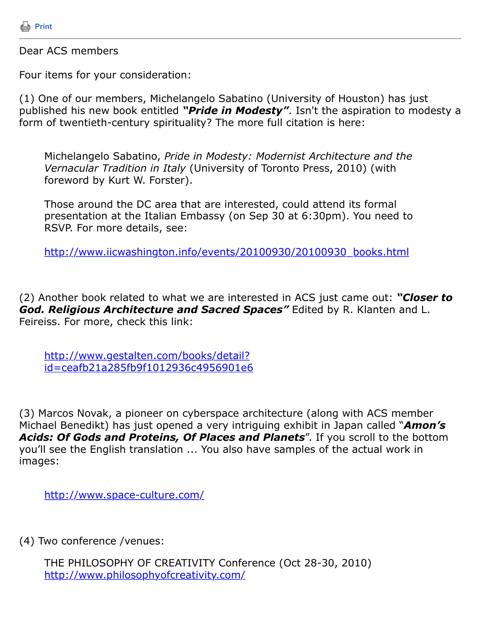

Dear ACS members

Four items for your consideration:

(1) One of our members, Michelangelo Sabatino (University of Houston) has just published his new book entitled *"Pride in Modesty"*. Isn't the aspiration to modesty a form of twentieth-century spirituality? The more full citation is here:

Michelangelo Sabatino, *Pride in Modesty: Modernist Architecture and the Vernacular Tradition in Italy* (University of Toronto Press, 2010) (with foreword by Kurt W. Forster).

Those around the DC area that are interested, could attend its formal presentation at the Italian Embassy (on Sep 30 at 6:30pm). You need to RSVP. For more details, see:

[http://www.iicwashington.info/events/20100930/20100930\\_books.html](http://www.iicwashington.info/events/20100930/20100930_books.html)

(2) Another book related to what we are interested in ACS just came out: *"Closer to God. Religious Architecture and Sacred Spaces"* Edited by R. Klanten and L. Feireiss. For more, check this link:

http://www.gestalten.com/books/detail? [id=ceafb21a285fb9f1012936c4956901e6](http://www.gestalten.com/books/detail?id=ceafb21a285fb9f1012936c4956901e6)

(3) Marcos Novak, a pioneer on cyberspace architecture (along with ACS member Michael Benedikt) has just opened a very intriguing exhibit in Japan called "*Amon's Acids: Of Gods and Proteins, Of Places and Planets*". If you scroll to the bottom you'll see the English translation ... You also have samples of the actual work in images:

<http://www.space-culture.com/>

(4) Two conference /venues:

THE PHILOSOPHY OF CREATIVITY Conference (Oct 28-30, 2010) <http://www.philosophyofcreativity.com/>